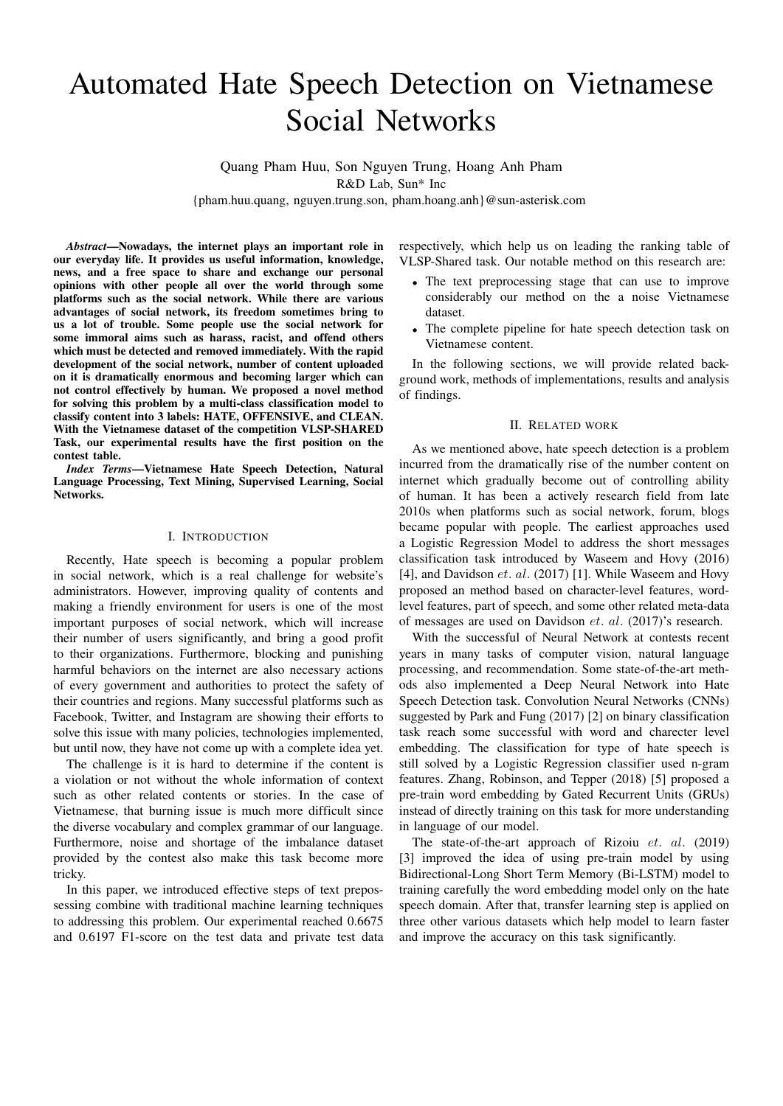# Automated Hate Speech Detection on Vietnamese Social Networks

Quang Pham Huu, Son Nguyen Trung, Hoang Anh Pham R&D Lab, Sun\* Inc

{pham.huu.quang, nguyen.trung.son, pham.hoang.anh}@sun-asterisk.com

*Abstract***—Nowadays, the internet plays an important role in our everyday life. It provides us useful information, knowledge, news, and a free space to share and exchange our personal opinions with other people all over the world through some platforms such as the social network. While there are various advantages of social network, its freedom sometimes bring to us a lot of trouble. Some people use the social network for some immoral aims such as harass, racist, and offend others which must be detected and removed immediately. With the rapid development of the social network, number of content uploaded on it is dramatically enormous and becoming larger which can not control effectively by human. We proposed a novel method for solving this problem by a multi-class classification model to classify content into 3 labels: HATE, OFFENSIVE, and CLEAN. With the Vietnamese dataset of the competition VLSP-SHARED Task, our experimental results have the first position on the contest table.**

*Index Terms***—Vietnamese Hate Speech Detection, Natural Language Processing, Text Mining, Supervised Learning, Social Networks.**

#### I. INTRODUCTION

Recently, Hate speech is becoming a popular problem in social network, which is a real challenge for website's administrators. However, improving quality of contents and making a friendly environment for users is one of the most important purposes of social network, which will increase their number of users significantly, and bring a good profit to their organizations. Furthermore, blocking and punishing harmful behaviors on the internet are also necessary actions of every government and authorities to protect the safety of their countries and regions. Many successful platforms such as Facebook, Twitter, and Instagram are showing their efforts to solve this issue with many policies, technologies implemented, but until now, they have not come up with a complete idea yet.

The challenge is it is hard to determine if the content is a violation or not without the whole information of context such as other related contents or stories. In the case of Vietnamese, that burning issue is much more difficult since the diverse vocabulary and complex grammar of our language. Furthermore, noise and shortage of the imbalance dataset provided by the contest also make this task become more tricky.

In this paper, we introduced effective steps of text prepossessing combine with traditional machine learning techniques to addressing this problem. Our experimental reached 0.6675 and 0.6197 F1-score on the test data and private test data

respectively, which help us on leading the ranking table of VLSP-Shared task. Our notable method on this research are:

- The text preprocessing stage that can use to improve considerably our method on the a noise Vietnamese dataset.
- The complete pipeline for hate speech detection task on Vietnamese content.

In the following sections, we will provide related background work, methods of implementations, results and analysis of findings.

#### II. RELATED WORK

As we mentioned above, hate speech detection is a problem incurred from the dramatically rise of the number content on internet which gradually become out of controlling ability of human. It has been a actively research field from late 2010s when platforms such as social network, forum, blogs became popular with people. The earliest approaches used a Logistic Regression Model to address the short messages classification task introduced by Waseem and Hovy (2016) [4], and Davidson  $et.$   $al.$  (2017) [1]. While Waseem and Hovy proposed an method based on character-level features, wordlevel features, part of speech, and some other related meta-data of messages are used on Davidson et. al. (2017)'s research.

With the successful of Neural Network at contests recent years in many tasks of computer vision, natural language processing, and recommendation. Some state-of-the-art methods also implemented a Deep Neural Network into Hate Speech Detection task. Convolution Neural Networks (CNNs) suggested by Park and Fung (2017) [2] on binary classification task reach some successful with word and charecter level embedding. The classification for type of hate speech is still solved by a Logistic Regression classifier used n-gram features. Zhang, Robinson, and Tepper (2018) [5] proposed a pre-train word embedding by Gated Recurrent Units (GRUs) instead of directly training on this task for more understanding in language of our model.

The state-of-the-art approach of Rizoiu et. al. (2019) [3] improved the idea of using pre-train model by using Bidirectional-Long Short Term Memory (Bi-LSTM) model to training carefully the word embedding model only on the hate speech domain. After that, transfer learning step is applied on three other various datasets which help model to learn faster and improve the accuracy on this task significantly.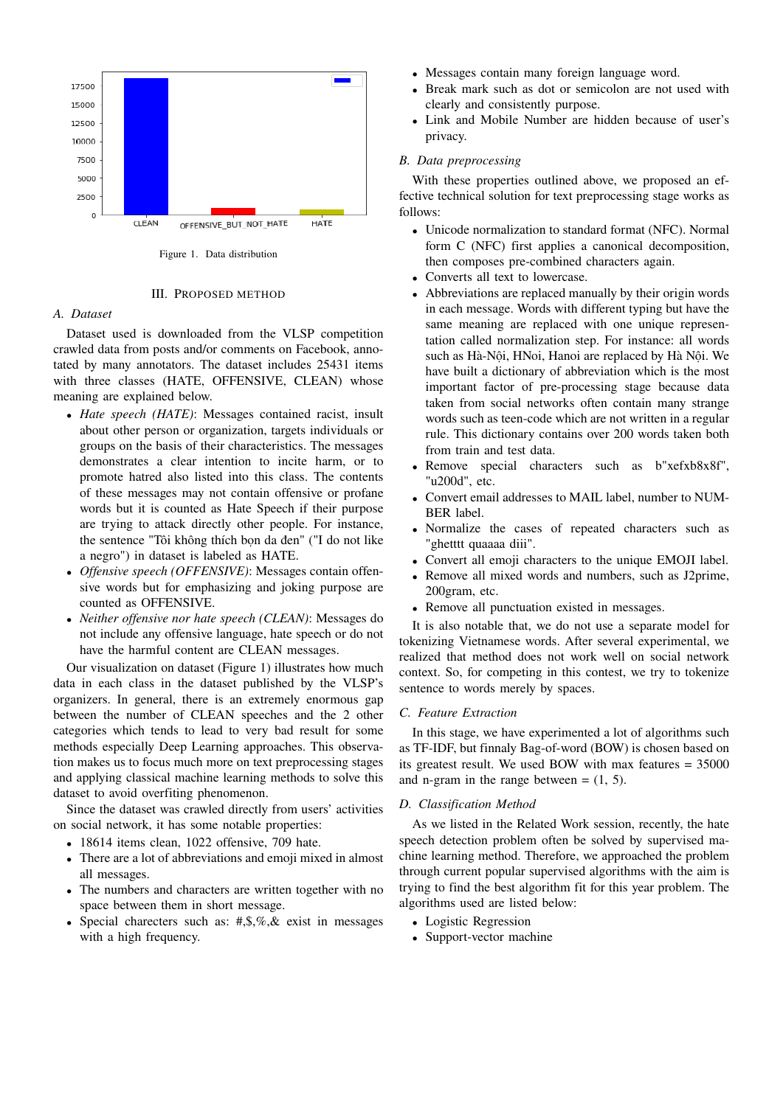

Figure 1. Data distribution

## III. PROPOSED METHOD

## *A. Dataset*

Dataset used is downloaded from the VLSP competition crawled data from posts and/or comments on Facebook, annotated by many annotators. The dataset includes 25431 items with three classes (HATE, OFFENSIVE, CLEAN) whose meaning are explained below.

- *Hate speech (HATE)*: Messages contained racist, insult about other person or organization, targets individuals or groups on the basis of their characteristics. The messages demonstrates a clear intention to incite harm, or to promote hatred also listed into this class. The contents of these messages may not contain offensive or profane words but it is counted as Hate Speech if their purpose are trying to attack directly other people. For instance, the sentence "Tôi không thích bọn da đen" ("I do not like a negro") in dataset is labeled as HATE.
- *Offensive speech (OFFENSIVE)*: Messages contain offensive words but for emphasizing and joking purpose are counted as OFFENSIVE.
- *Neither offensive nor hate speech (CLEAN)*: Messages do not include any offensive language, hate speech or do not have the harmful content are CLEAN messages.

Our visualization on dataset (Figure 1) illustrates how much data in each class in the dataset published by the VLSP's organizers. In general, there is an extremely enormous gap between the number of CLEAN speeches and the 2 other categories which tends to lead to very bad result for some methods especially Deep Learning approaches. This observation makes us to focus much more on text preprocessing stages and applying classical machine learning methods to solve this dataset to avoid overfiting phenomenon.

Since the dataset was crawled directly from users' activities on social network, it has some notable properties:

- 18614 items clean, 1022 offensive, 709 hate.
- There are a lot of abbreviations and emoji mixed in almost all messages.
- The numbers and characters are written together with no space between them in short message.
- Special charecters such as: #,\$,%,& exist in messages with a high frequency.
- Messages contain many foreign language word.
- Break mark such as dot or semicolon are not used with clearly and consistently purpose.
- Link and Mobile Number are hidden because of user's privacy.

#### *B. Data preprocessing*

With these properties outlined above, we proposed an effective technical solution for text preprocessing stage works as follows:

- Unicode normalization to standard format (NFC). Normal form C (NFC) first applies a canonical decomposition, then composes pre-combined characters again.
- Converts all text to lowercase.
- Abbreviations are replaced manually by their origin words in each message. Words with different typing but have the same meaning are replaced with one unique representation called normalization step. For instance: all words such as Hà-Nội, HNoi, Hanoi are replaced by Hà Nội. We have built a dictionary of abbreviation which is the most important factor of pre-processing stage because data taken from social networks often contain many strange words such as teen-code which are not written in a regular rule. This dictionary contains over 200 words taken both from train and test data.
- Remove special characters such as b"xefxb8x8f", "u200d", etc.
- Convert email addresses to MAIL label, number to NUM-BER label.
- Normalize the cases of repeated characters such as "ghetttt quaaaa diii".
- Convert all emoji characters to the unique EMOJI label.
- Remove all mixed words and numbers, such as J2prime, 200gram, etc.
- Remove all punctuation existed in messages.

It is also notable that, we do not use a separate model for tokenizing Vietnamese words. After several experimental, we realized that method does not work well on social network context. So, for competing in this contest, we try to tokenize sentence to words merely by spaces.

## *C. Feature Extraction*

In this stage, we have experimented a lot of algorithms such as TF-IDF, but finnaly Bag-of-word (BOW) is chosen based on its greatest result. We used BOW with max features = 35000 and n-gram in the range between  $= (1, 5)$ .

## *D. Classification Method*

As we listed in the Related Work session, recently, the hate speech detection problem often be solved by supervised machine learning method. Therefore, we approached the problem through current popular supervised algorithms with the aim is trying to find the best algorithm fit for this year problem. The algorithms used are listed below:

- Logistic Regression
- Support-vector machine